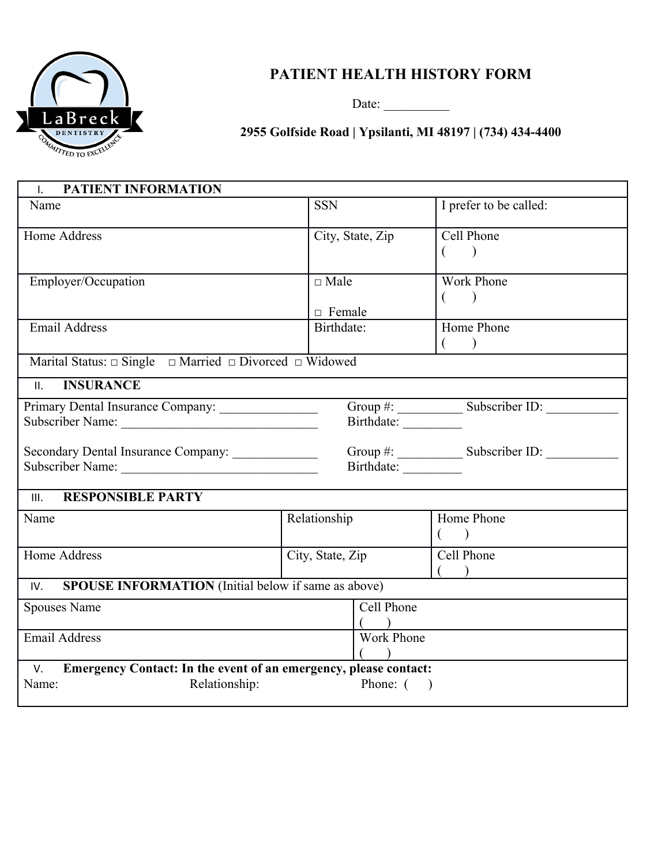

## **PATIENT HEALTH HISTORY FORM**

Date: \_\_\_\_\_\_\_\_\_\_

**2955 Golfside Road | Ypsilanti, MI 48197 | (734) 434-4400**

| PATIENT INFORMATION<br>$\mathsf{L}$                                                                          |                              |                   |                                                    |
|--------------------------------------------------------------------------------------------------------------|------------------------------|-------------------|----------------------------------------------------|
| Name                                                                                                         | <b>SSN</b>                   |                   | I prefer to be called:                             |
| Home Address                                                                                                 | City, State, Zip             |                   | Cell Phone<br>$\overline{\phantom{a}}$<br>$\left($ |
| Employer/Occupation                                                                                          | $\Box$ Male<br>$\Box$ Female |                   | <b>Work Phone</b><br>$\left($                      |
| <b>Email Address</b>                                                                                         | Birthdate:                   |                   | Home Phone<br>$\big)$                              |
| Marital Status: $\Box$ Single $\Box$ Married $\Box$ Divorced $\Box$ Widowed                                  |                              |                   |                                                    |
| <b>INSURANCE</b><br>II.                                                                                      |                              |                   |                                                    |
| Group #: Subscriber ID:<br>Birthdate:                                                                        |                              |                   |                                                    |
| Birthdate:                                                                                                   |                              |                   | Group #: Subscriber ID:                            |
| <b>RESPONSIBLE PARTY</b><br>III.                                                                             |                              |                   |                                                    |
| Name                                                                                                         | Relationship                 |                   | Home Phone<br>(                                    |
| Home Address                                                                                                 | City, State, Zip             |                   | Cell Phone                                         |
| <b>SPOUSE INFORMATION</b> (Initial below if same as above)<br>IV.                                            |                              |                   |                                                    |
| <b>Spouses Name</b>                                                                                          |                              | Cell Phone        |                                                    |
| Email Address                                                                                                |                              | <b>Work Phone</b> |                                                    |
| Emergency Contact: In the event of an emergency, please contact:<br>V.<br>Name:<br>Relationship:<br>Phone: ( |                              |                   |                                                    |